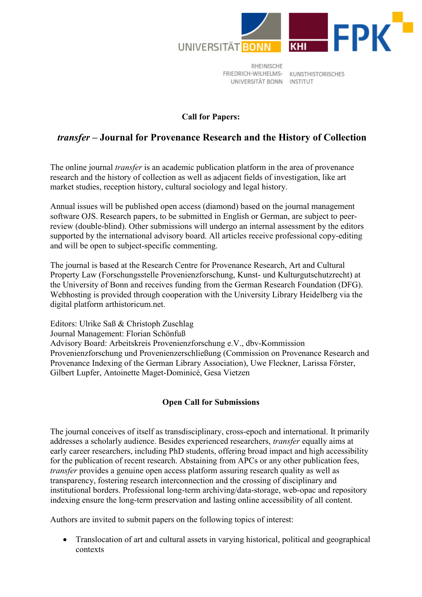

RHEINISCHE FRIEDRICH-WILHELMS- KUNSTHISTORISCHES UNIVERSITÄT BONN INSTITUT

## **Call for Papers:**

## *transfer* **– Journal for Provenance Research and the History of Collection**

The online journal *transfer* is an academic publication platform in the area of provenance research and the history of collection as well as adjacent fields of investigation, like art market studies, reception history, cultural sociology and legal history.

Annual issues will be published open access (diamond) based on the journal management software OJS. Research papers, to be submitted in English or German, are subject to peerreview (double-blind). Other submissions will undergo an internal assessment by the editors supported by the international advisory board. All articles receive professional copy-editing and will be open to subject-specific commenting.

The journal is based at the Research Centre for Provenance Research, Art and Cultural Property Law (Forschungsstelle Provenienzforschung, Kunst- und Kulturgutschutzrecht) at the University of Bonn and receives funding from the German Research Foundation (DFG). Webhosting is provided through cooperation with the University Library Heidelberg via the digital platform arthistoricum.net.

Editors: Ulrike Saß & Christoph Zuschlag Journal Management: Florian Schönfuß Advisory Board: Arbeitskreis Provenienzforschung e.V., dbv-Kommission Provenienzforschung und Provenienzerschließung (Commission on Provenance Research and Provenance Indexing of the German Library Association), Uwe Fleckner, Larissa Förster, Gilbert Lupfer, Antoinette Maget-Dominicé, Gesa Vietzen

## **Open Call for Submissions**

The journal conceives of itself as transdisciplinary, cross-epoch and international. It primarily addresses a scholarly audience. Besides experienced researchers, *transfer* equally aims at early career researchers, including PhD students, offering broad impact and high accessibility for the publication of recent research. Abstaining from APCs or any other publication fees, *transfer* provides a genuine open access platform assuring research quality as well as transparency, fostering research interconnection and the crossing of disciplinary and institutional borders. Professional long-term archiving/data-storage, web-opac and repository indexing ensure the long-term preservation and lasting online accessibility of all content.

Authors are invited to submit papers on the following topics of interest:

• Translocation of art and cultural assets in varying historical, political and geographical contexts